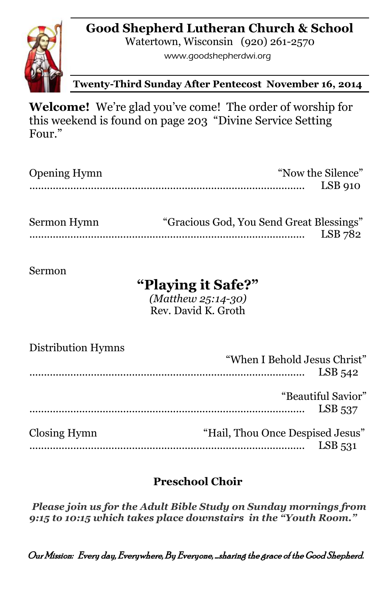## **Good Shepherd Lutheran Church & School**



Watertown, Wisconsin (920) 261-2570

www.goodshepherdwi.org

**Twenty-Third Sunday After Pentecost November 16, 2014**

**Welcome!** We're glad you've come! The order of worship for this weekend is found on page 203 "Divine Service Setting Four."

| <b>Opening Hymn</b> | "Now the Silence" |  |
|---------------------|-------------------|--|
|                     | $LSB$ 910         |  |
|                     |                   |  |

| Sermon Hymn | "Gracious God, You Send Great Blessings" |         |
|-------------|------------------------------------------|---------|
|             |                                          | LSB 782 |

Sermon

# **"Playing it Safe?"**

*(Matthew 25:14-30)* Rev. David K. Groth

| Distribution Hymns | "When I Behold Jesus Christ"     | $LSB$ 542                       |
|--------------------|----------------------------------|---------------------------------|
|                    |                                  | "Beautiful Savior"<br>$LSB$ 537 |
| Closing Hymn       | "Hail, Thou Once Despised Jesus" | $LSB$ 531                       |

## **Preschool Choir**

*Please join us for the Adult Bible Study on Sunday mornings from 9:15 to 10:15 which takes place downstairs in the "Youth Room."*

Our Mission: Every day, Everywhere, By Everyone, …sharing the grace of the Good Shepherd.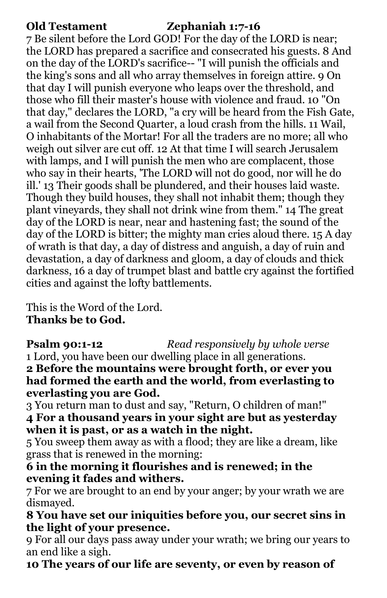### **Old Testament Zephaniah 1:7-16**

7 Be silent before the Lord GOD! For the day of the LORD is near; the LORD has prepared a sacrifice and consecrated his guests. 8 And on the day of the LORD's sacrifice-- "I will punish the officials and the king's sons and all who array themselves in foreign attire. 9 On that day I will punish everyone who leaps over the threshold, and those who fill their master's house with violence and fraud. 10 "On that day," declares the LORD, "a cry will be heard from the Fish Gate, a wail from the Second Quarter, a loud crash from the hills. 11 Wail, O inhabitants of the Mortar! For all the traders are no more; all who weigh out silver are cut off. 12 At that time I will search Jerusalem with lamps, and I will punish the men who are complacent, those who say in their hearts, 'The LORD will not do good, nor will he do ill.' 13 Their goods shall be plundered, and their houses laid waste. Though they build houses, they shall not inhabit them; though they plant vineyards, they shall not drink wine from them." 14 The great day of the LORD is near, near and hastening fast; the sound of the day of the LORD is bitter; the mighty man cries aloud there. 15 A day of wrath is that day, a day of distress and anguish, a day of ruin and devastation, a day of darkness and gloom, a day of clouds and thick darkness, 16 a day of trumpet blast and battle cry against the fortified cities and against the lofty battlements.

This is the Word of the Lord. **Thanks be to God.**

**Psalm 90:1-12** *Read responsively by whole verse* 1 Lord, you have been our dwelling place in all generations.

**2 Before the mountains were brought forth, or ever you had formed the earth and the world, from everlasting to everlasting you are God.** 

3 You return man to dust and say, "Return, O children of man!" **4 For a thousand years in your sight are but as yesterday when it is past, or as a watch in the night.** 

5 You sweep them away as with a flood; they are like a dream, like grass that is renewed in the morning:

**6 in the morning it flourishes and is renewed; in the evening it fades and withers.** 

7 For we are brought to an end by your anger; by your wrath we are dismayed.

**8 You have set our iniquities before you, our secret sins in the light of your presence.** 

9 For all our days pass away under your wrath; we bring our years to an end like a sigh.

**10 The years of our life are seventy, or even by reason of**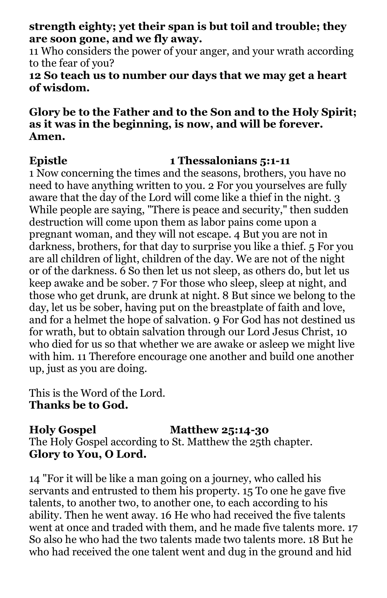**strength eighty; yet their span is but toil and trouble; they are soon gone, and we fly away.** 

11 Who considers the power of your anger, and your wrath according to the fear of you?

#### **12 So teach us to number our days that we may get a heart of wisdom.**

#### **Glory be to the Father and to the Son and to the Holy Spirit; as it was in the beginning, is now, and will be forever. Amen.**

### **Epistle 1 Thessalonians 5:1-11**

1 Now concerning the times and the seasons, brothers, you have no need to have anything written to you. 2 For you yourselves are fully aware that the day of the Lord will come like a thief in the night. 3 While people are saying, "There is peace and security," then sudden destruction will come upon them as labor pains come upon a pregnant woman, and they will not escape. 4 But you are not in darkness, brothers, for that day to surprise you like a thief. 5 For you are all children of light, children of the day. We are not of the night or of the darkness. 6 So then let us not sleep, as others do, but let us keep awake and be sober. 7 For those who sleep, sleep at night, and those who get drunk, are drunk at night. 8 But since we belong to the day, let us be sober, having put on the breastplate of faith and love, and for a helmet the hope of salvation. 9 For God has not destined us for wrath, but to obtain salvation through our Lord Jesus Christ, 10 who died for us so that whether we are awake or asleep we might live with him. 11 Therefore encourage one another and build one another up, just as you are doing.

This is the Word of the Lord. **Thanks be to God.**

**Holy Gospel Matthew 25:14-30** The Holy Gospel according to St. Matthew the 25th chapter. **Glory to You, O Lord.**

14 "For it will be like a man going on a journey, who called his servants and entrusted to them his property. 15 To one he gave five talents, to another two, to another one, to each according to his ability. Then he went away. 16 He who had received the five talents went at once and traded with them, and he made five talents more. 17 So also he who had the two talents made two talents more. 18 But he who had received the one talent went and dug in the ground and hid